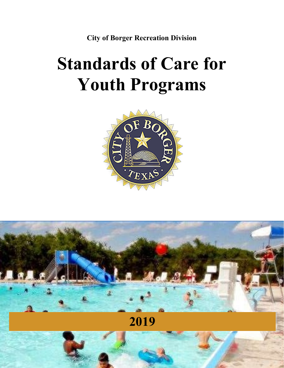City of Borger Recreation Division

# Standards of Care for Youth Programs



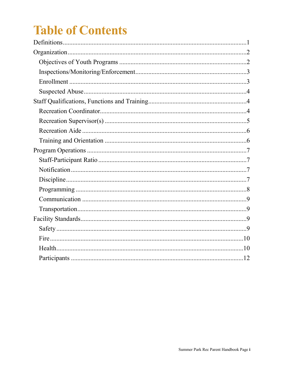## **Table of Contents**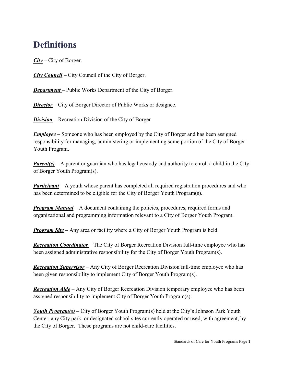## **Definitions**

 $City - City$  of Borger.

**City Council** – City Council of the City of Borger.

Department – Public Works Department of the City of Borger.

**Director** – City of Borger Director of Public Works or designee.

**Division** – Recreation Division of the City of Borger

Employee – Someone who has been employed by the City of Borger and has been assigned responsibility for managing, administering or implementing some portion of the City of Borger Youth Program.

**Parent(s)** – A parent or guardian who has legal custody and authority to enroll a child in the City of Borger Youth Program(s).

**Participant** – A youth whose parent has completed all required registration procedures and who has been determined to be eligible for the City of Borger Youth Program(s).

**Program Manual** – A document containing the policies, procedures, required forms and organizational and programming information relevant to a City of Borger Youth Program.

**Program Site** – Any area or facility where a City of Borger Youth Program is held.

**Recreation Coordinator** – The City of Borger Recreation Division full-time employee who has been assigned administrative responsibility for the City of Borger Youth Program(s).

**Recreation Supervisor** – Any City of Borger Recreation Division full-time employee who has been given responsibility to implement City of Borger Youth Program(s).

**Recreation Aide** – Any City of Borger Recreation Division temporary employee who has been assigned responsibility to implement City of Borger Youth Program(s).

**Youth Program(s)** – City of Borger Youth Program(s) held at the City's Johnson Park Youth Center, any City park, or designated school sites currently operated or used, with agreement, by the City of Borger. These programs are not child-care facilities.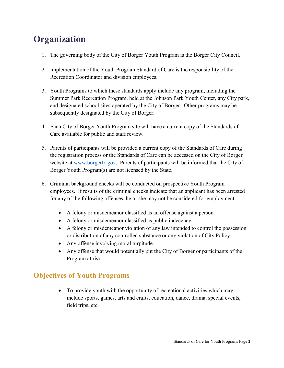## **Organization**

- 1. The governing body of the City of Borger Youth Program is the Borger City Council.
- 2. Implementation of the Youth Program Standard of Care is the responsibility of the Recreation Coordinator and division employees.
- 3. Youth Programs to which these standards apply include any program, including the Summer Park Recreation Program, held at the Johnson Park Youth Center, any City park, and designated school sites operated by the City of Borger. Other programs may be subsequently designated by the City of Borger.
- 4. Each City of Borger Youth Program site will have a current copy of the Standards of Care available for public and staff review.
- 5. Parents of participants will be provided a current copy of the Standards of Care during the registration process or the Standards of Care can be accessed on the City of Borger website at www.borgertx.gov. Parents of participants will be informed that the City of Borger Youth Program(s) are not licensed by the State.
- 6. Criminal background checks will be conducted on prospective Youth Program employees. If results of the criminal checks indicate that an applicant has been arrested for any of the following offenses, he or she may not be considered for employment:
	- A felony or misdemeanor classified as an offense against a person.
	- A felony or misdemeanor classified as public indecency.
	- A felony or misdemeanor violation of any law intended to control the possession or distribution of any controlled substance or any violation of City Policy.
	- Any offense involving moral turpitude.
	- Any offense that would potentially put the City of Borger or participants of the Program at risk.

## Objectives of Youth Programs

• To provide youth with the opportunity of recreational activities which may include sports, games, arts and crafts, education, dance, drama, special events, field trips, etc.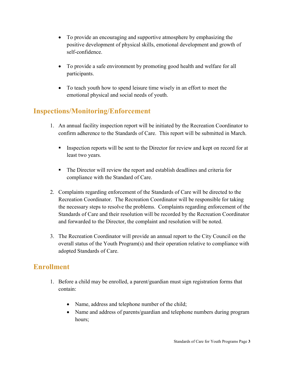- To provide an encouraging and supportive atmosphere by emphasizing the positive development of physical skills, emotional development and growth of self-confidence.
- To provide a safe environment by promoting good health and welfare for all participants.
- To teach youth how to spend leisure time wisely in an effort to meet the emotional physical and social needs of youth.

## Inspections/Monitoring/Enforcement

- 1. An annual facility inspection report will be initiated by the Recreation Coordinator to confirm adherence to the Standards of Care. This report will be submitted in March.
	- Inspection reports will be sent to the Director for review and kept on record for at least two years.
	- The Director will review the report and establish deadlines and criteria for compliance with the Standard of Care.
- 2. Complaints regarding enforcement of the Standards of Care will be directed to the Recreation Coordinator. The Recreation Coordinator will be responsible for taking the necessary steps to resolve the problems. Complaints regarding enforcement of the Standards of Care and their resolution will be recorded by the Recreation Coordinator and forwarded to the Director, the complaint and resolution will be noted.
- 3. The Recreation Coordinator will provide an annual report to the City Council on the overall status of the Youth Program(s) and their operation relative to compliance with adopted Standards of Care.

## Enrollment

- 1. Before a child may be enrolled, a parent/guardian must sign registration forms that contain:
	- Name, address and telephone number of the child;
	- Name and address of parents/guardian and telephone numbers during program hours;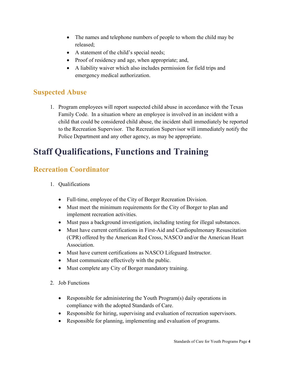- The names and telephone numbers of people to whom the child may be released;
- A statement of the child's special needs;
- Proof of residency and age, when appropriate; and,
- A liability waiver which also includes permission for field trips and emergency medical authorization.

## Suspected Abuse

1. Program employees will report suspected child abuse in accordance with the Texas Family Code. In a situation where an employee is involved in an incident with a child that could be considered child abuse, the incident shall immediately be reported to the Recreation Supervisor. The Recreation Supervisor will immediately notify the Police Department and any other agency, as may be appropriate.

## Staff Qualifications, Functions and Training

## Recreation Coordinator

- 1. Qualifications
	- Full-time, employee of the City of Borger Recreation Division.
	- Must meet the minimum requirements for the City of Borger to plan and implement recreation activities.
	- Must pass a background investigation, including testing for illegal substances.
	- Must have current certifications in First-Aid and Cardiopulmonary Resuscitation (CPR) offered by the American Red Cross, NASCO and/or the American Heart Association.
	- Must have current certifications as NASCO Lifeguard Instructor.
	- Must communicate effectively with the public.
	- Must complete any City of Borger mandatory training.
- 2. Job Functions
	- Responsible for administering the Youth Program(s) daily operations in compliance with the adopted Standards of Care.
	- Responsible for hiring, supervising and evaluation of recreation supervisors.
	- Responsible for planning, implementing and evaluation of programs.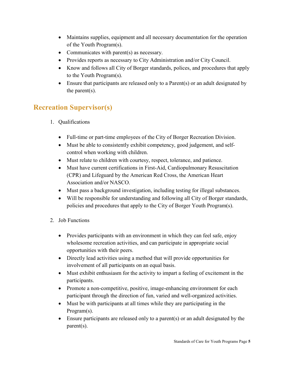- Maintains supplies, equipment and all necessary documentation for the operation of the Youth Program(s).
- Communicates with parent(s) as necessary.
- Provides reports as necessary to City Administration and/or City Council.
- Know and follows all City of Borger standards, polices, and procedures that apply to the Youth Program(s).
- Ensure that participants are released only to a Parent(s) or an adult designated by the parent(s).

## Recreation Supervisor(s)

- 1. Qualifications
	- Full-time or part-time employees of the City of Borger Recreation Division.
	- Must be able to consistently exhibit competency, good judgement, and selfcontrol when working with children.
	- Must relate to children with courtesy, respect, tolerance, and patience.
	- Must have current certifications in First-Aid, Cardiopulmonary Resuscitation (CPR) and Lifeguard by the American Red Cross, the American Heart Association and/or NASCO.
	- Must pass a background investigation, including testing for illegal substances.
	- Will be responsible for understanding and following all City of Borger standards, policies and procedures that apply to the City of Borger Youth Program(s).
- 2. Job Functions
	- Provides participants with an environment in which they can feel safe, enjoy wholesome recreation activities, and can participate in appropriate social opportunities with their peers.
	- Directly lead activities using a method that will provide opportunities for involvement of all participants on an equal basis.
	- Must exhibit enthusiasm for the activity to impart a feeling of excitement in the participants.
	- Promote a non-competitive, positive, image-enhancing environment for each participant through the direction of fun, varied and well-organized activities.
	- Must be with participants at all times while they are participating in the Program(s).
	- Ensure participants are released only to a parent(s) or an adult designated by the parent(s).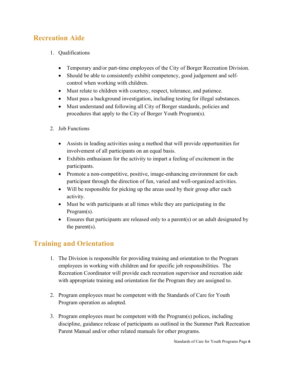## Recreation Aide

- 1. Qualifications
	- Temporary and/or part-time employees of the City of Borger Recreation Division.
	- Should be able to consistently exhibit competency, good judgement and selfcontrol when working with children.
	- Must relate to children with courtesy, respect, tolerance, and patience.
	- Must pass a background investigation, including testing for illegal substances.
	- Must understand and following all City of Borger standards, policies and procedures that apply to the City of Borger Youth Program(s).
- 2. Job Functions
	- Assists in leading activities using a method that will provide opportunities for involvement of all participants on an equal basis.
	- Exhibits enthusiasm for the activity to impart a feeling of excitement in the participants.
	- Promote a non-competitive, positive, image-enhancing environment for each participant through the direction of fun, varied and well-organized activities.
	- Will be responsible for picking up the areas used by their group after each activity.
	- Must be with participants at all times while they are participating in the Program(s).
	- Ensures that participants are released only to a parent(s) or an adult designated by the parent(s).

## Training and Orientation

- 1. The Division is responsible for providing training and orientation to the Program employees in working with children and for specific job responsibilities. The Recreation Coordinator will provide each recreation supervisor and recreation aide with appropriate training and orientation for the Program they are assigned to.
- 2. Program employees must be competent with the Standards of Care for Youth Program operation as adopted.
- 3. Program employees must be competent with the Program(s) polices, including discipline, guidance release of participants as outlined in the Summer Park Recreation Parent Manual and/or other related manuals for other programs.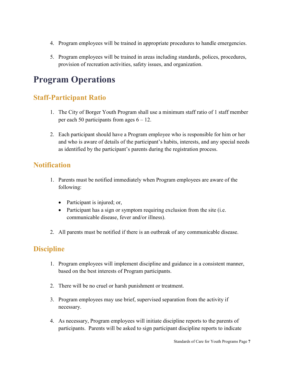- 4. Program employees will be trained in appropriate procedures to handle emergencies.
- 5. Program employees will be trained in areas including standards, polices, procedures, provision of recreation activities, safety issues, and organization.

## Program Operations

## Staff-Participant Ratio

- 1. The City of Borger Youth Program shall use a minimum staff ratio of 1 staff member per each 50 participants from ages  $6 - 12$ .
- 2. Each participant should have a Program employee who is responsible for him or her and who is aware of details of the participant's habits, interests, and any special needs as identified by the participant's parents during the registration process.

## **Notification**

- 1. Parents must be notified immediately when Program employees are aware of the following:
	- Participant is injured; or,
	- Participant has a sign or symptom requiring exclusion from the site (i.e. communicable disease, fever and/or illness).
- 2. All parents must be notified if there is an outbreak of any communicable disease.

## **Discipline**

- 1. Program employees will implement discipline and guidance in a consistent manner, based on the best interests of Program participants.
- 2. There will be no cruel or harsh punishment or treatment.
- 3. Program employees may use brief, supervised separation from the activity if necessary.
- 4. As necessary, Program employees will initiate discipline reports to the parents of participants. Parents will be asked to sign participant discipline reports to indicate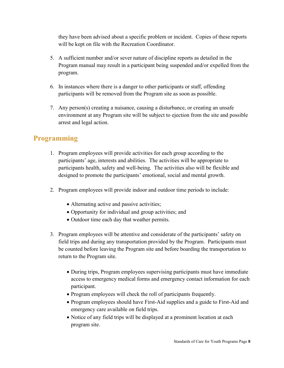they have been advised about a specific problem or incident. Copies of these reports will be kept on file with the Recreation Coordinator.

- 5. A sufficient number and/or sever nature of discipline reports as detailed in the Program manual may result in a participant being suspended and/or expelled from the program.
- 6. In instances where there is a danger to other participants or staff, offending participants will be removed from the Program site as soon as possible.
- 7. Any person(s) creating a nuisance, causing a disturbance, or creating an unsafe environment at any Program site will be subject to ejection from the site and possible arrest and legal action.

## Programming

- 1. Program employees will provide activities for each group according to the participants' age, interests and abilities. The activities will be appropriate to participants health, safety and well-being. The activities also will be flexible and designed to promote the participants' emotional, social and mental growth.
- 2. Program employees will provide indoor and outdoor time periods to include:
	- Alternating active and passive activities;
	- Opportunity for individual and group activities; and
	- Outdoor time each day that weather permits.
- 3. Program employees will be attentive and considerate of the participants' safety on field trips and during any transportation provided by the Program. Participants must be counted before leaving the Program site and before boarding the transportation to return to the Program site.
	- During trips, Program employees supervising participants must have immediate access to emergency medical forms and emergency contact information for each participant.
	- Program employees will check the roll of participants frequently.
	- Program employees should have First-Aid supplies and a guide to First-Aid and emergency care available on field trips.
	- Notice of any field trips will be displayed at a prominent location at each program site.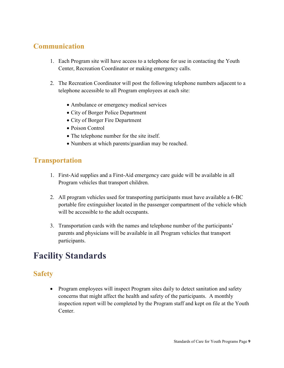## Communication

- 1. Each Program site will have access to a telephone for use in contacting the Youth Center, Recreation Coordinator or making emergency calls.
- 2. The Recreation Coordinator will post the following telephone numbers adjacent to a telephone accessible to all Program employees at each site:
	- Ambulance or emergency medical services
	- City of Borger Police Department
	- City of Borger Fire Department
	- Poison Control
	- The telephone number for the site itself.
	- Numbers at which parents/guardian may be reached.

## **Transportation**

- 1. First-Aid supplies and a First-Aid emergency care guide will be available in all Program vehicles that transport children.
- 2. All program vehicles used for transporting participants must have available a 6-BC portable fire extinguisher located in the passenger compartment of the vehicle which will be accessible to the adult occupants.
- 3. Transportation cards with the names and telephone number of the participants' parents and physicians will be available in all Program vehicles that transport participants.

## Facility Standards

## Safety

• Program employees will inspect Program sites daily to detect sanitation and safety concerns that might affect the health and safety of the participants. A monthly inspection report will be completed by the Program staff and kept on file at the Youth Center.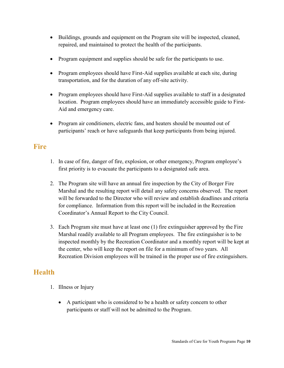- Buildings, grounds and equipment on the Program site will be inspected, cleaned, repaired, and maintained to protect the health of the participants.
- Program equipment and supplies should be safe for the participants to use.
- Program employees should have First-Aid supplies available at each site, during transportation, and for the duration of any off-site activity.
- Program employees should have First-Aid supplies available to staff in a designated location. Program employees should have an immediately accessible guide to First-Aid and emergency care.
- Program air conditioners, electric fans, and heaters should be mounted out of participants' reach or have safeguards that keep participants from being injured.

#### Fire

- 1. In case of fire, danger of fire, explosion, or other emergency, Program employee's first priority is to evacuate the participants to a designated safe area.
- 2. The Program site will have an annual fire inspection by the City of Borger Fire Marshal and the resulting report will detail any safety concerns observed. The report will be forwarded to the Director who will review and establish deadlines and criteria for compliance. Information from this report will be included in the Recreation Coordinator's Annual Report to the City Council.
- 3. Each Program site must have at least one (1) fire extinguisher approved by the Fire Marshal readily available to all Program employees. The fire extinguisher is to be inspected monthly by the Recreation Coordinator and a monthly report will be kept at the center, who will keep the report on file for a minimum of two years. All Recreation Division employees will be trained in the proper use of fire extinguishers.

#### Health

- 1. Illness or Injury
	- A participant who is considered to be a health or safety concern to other participants or staff will not be admitted to the Program.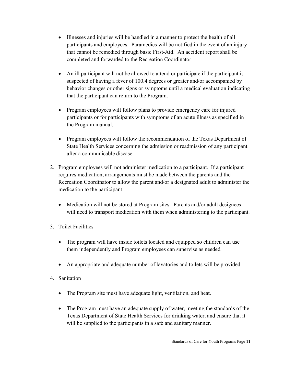- Illnesses and injuries will be handled in a manner to protect the health of all participants and employees. Paramedics will be notified in the event of an injury that cannot be remedied through basic First-Aid. An accident report shall be completed and forwarded to the Recreation Coordinator
- An ill participant will not be allowed to attend or participate if the participant is suspected of having a fever of 100.4 degrees or greater and/or accompanied by behavior changes or other signs or symptoms until a medical evaluation indicating that the participant can return to the Program.
- Program employees will follow plans to provide emergency care for injured participants or for participants with symptoms of an acute illness as specified in the Program manual.
- Program employees will follow the recommendation of the Texas Department of State Health Services concerning the admission or readmission of any participant after a communicable disease.
- 2. Program employees will not administer medication to a participant. If a participant requires medication, arrangements must be made between the parents and the Recreation Coordinator to allow the parent and/or a designated adult to administer the medication to the participant.
	- Medication will not be stored at Program sites. Parents and/or adult designees will need to transport medication with them when administering to the participant.
- 3. Toilet Facilities
	- The program will have inside toilets located and equipped so children can use them independently and Program employees can supervise as needed.
	- An appropriate and adequate number of lavatories and toilets will be provided.
- 4. Sanitation
	- The Program site must have adequate light, ventilation, and heat.
	- The Program must have an adequate supply of water, meeting the standards of the Texas Department of State Health Services for drinking water, and ensure that it will be supplied to the participants in a safe and sanitary manner.